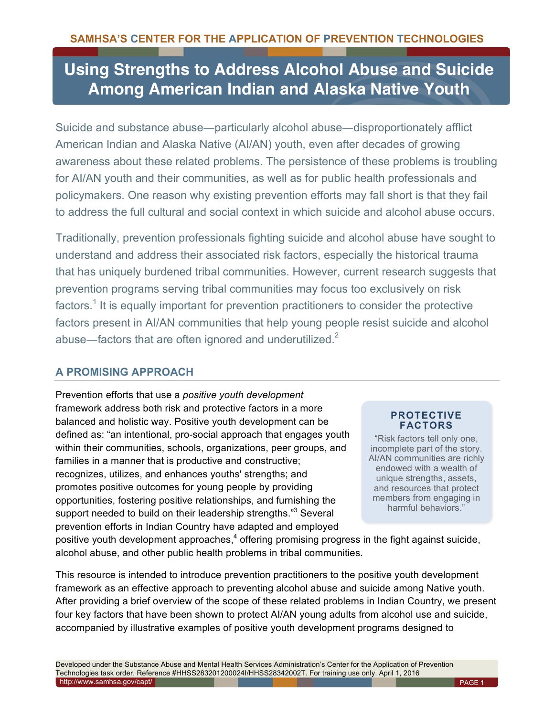# **Using Strengths to Address Alcohol Abuse and Suicide Among American Indian and Alaska Native Youth**

Suicide and substance abuse―particularly alcohol abuse―disproportionately afflict American Indian and Alaska Native (AI/AN) youth, even after decades of growing awareness about these related problems. The persistence of these problems is troubling for AI/AN youth and their communities, as well as for public health professionals and policymakers. One reason why existing prevention efforts may fall short is that they fail to address the full cultural and social context in which suicide and alcohol abuse occurs.

Traditionally, prevention professionals fighting suicide and alcohol abuse have sought to understand and address their associated risk factors, especially the historical trauma that has uniquely burdened tribal communities. However, current research suggests that prevention programs serving tribal communities may focus too exclusively on risk factors.<sup>1</sup> It is equally important for prevention practitioners to consider the protective factors present in AI/AN communities that help young people resist suicide and alcohol abuse—factors that are often ignored and underutilized. $2^2$ 

# **A PROMISING APPROACH**

Prevention efforts that use a *positive youth development* framework address both risk and protective factors in a more balanced and holistic way. Positive youth development can be defined as: "an intentional, pro-social approach that engages youth within their communities, schools, organizations, peer groups, and families in a manner that is productive and constructive; recognizes, utilizes, and enhances youths' strengths; and promotes positive outcomes for young people by providing opportunities, fostering positive relationships, and furnishing the support needed to build on their leadership strengths."<sup>3</sup> Several prevention efforts in Indian Country have adapted and employed

**PROTECTIVE FACTORS**

"Risk factors tell only one, incomplete part of the story. AI/AN communities are richly endowed with a wealth of unique strengths, assets, and resources that protect members from engaging in harmful behaviors."

positive youth development approaches,<sup>4</sup> offering promising progress in the fight against suicide, alcohol abuse, and other public health problems in tribal communities.

This resource is intended to introduce prevention practitioners to the positive youth development framework as an effective approach to preventing alcohol abuse and suicide among Native youth. After providing a brief overview of the scope of these related problems in Indian Country, we present four key factors that have been shown to protect AI/AN young adults from alcohol use and suicide, accompanied by illustrative examples of positive youth development programs designed to

Developed under the Substance Abuse and Mental Health Services Administration's Center for the Application of Prevention Technologies task order. Reference #HHSS283201200024I/HHSS28342002T. For training use only. April 1, 2016 <http://www.samhsa.gov/capt/> PAGE 1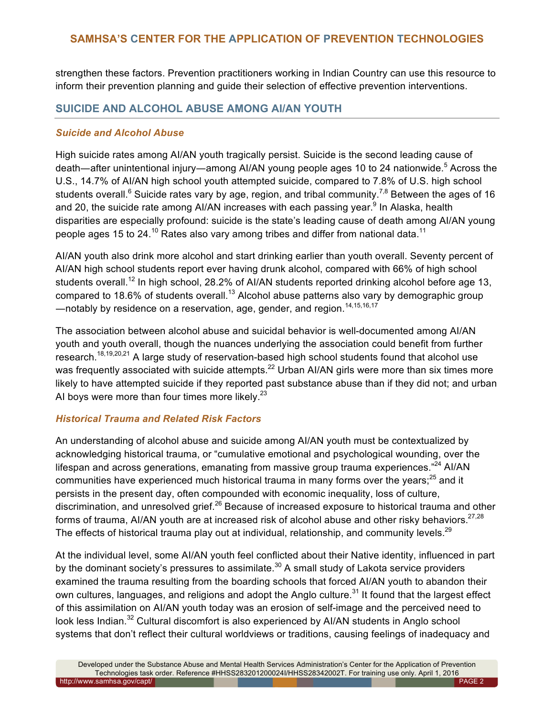strengthen these factors. Prevention practitioners working in Indian Country can use this resource to inform their prevention planning and guide their selection of effective prevention interventions.

## **SUICIDE AND ALCOHOL ABUSE AMONG AI/AN YOUTH**

#### *Suicide and Alcohol Abuse*

High suicide rates among AI/AN youth tragically persist. Suicide is the second leading cause of death—after unintentional injury—among AI/AN young people ages 10 to 24 nationwide.<sup>5</sup> Across the U.S., 14.7% of AI/AN high school youth attempted suicide, compared to 7.8% of U.S. high school students overall.<sup>6</sup> Suicide rates vary by age, region, and tribal community.<sup>7,8</sup> Between the ages of 16 and 20, the suicide rate among AI/AN increases with each passing year.<sup>9</sup> In Alaska, health disparities are especially profound: suicide is the state's leading cause of death among AI/AN young people ages 15 to 24.<sup>10</sup> Rates also vary among tribes and differ from national data.<sup>11</sup>

AI/AN youth also drink more alcohol and start drinking earlier than youth overall. Seventy percent of AI/AN high school students report ever having drunk alcohol, compared with 66% of high school students overall.<sup>12</sup> In high school, 28.2% of AI/AN students reported drinking alcohol before age 13, compared to 18.6% of students overall.<sup>13</sup> Alcohol abuse patterns also vary by demographic group -notably by residence on a reservation, age, gender, and region.<sup>14,15,16,17</sup>

The association between alcohol abuse and suicidal behavior is well-documented among AI/AN youth and youth overall, though the nuances underlying the association could benefit from further research.<sup>18,19,20,21</sup> A large study of reservation-based high school students found that alcohol use was frequently associated with suicide attempts.<sup>22</sup> Urban AI/AN girls were more than six times more likely to have attempted suicide if they reported past substance abuse than if they did not; and urban AI boys were more than four times more likely. $^{23}$ 

#### *Historical Trauma and Related Risk Factors*

An understanding of alcohol abuse and suicide among AI/AN youth must be contextualized by acknowledging historical trauma, or "cumulative emotional and psychological wounding, over the lifespan and across generations, emanating from massive group trauma experiences."<sup>24</sup> Al/AN communities have experienced much historical trauma in many forms over the years; $^{25}$  and it persists in the present day, often compounded with economic inequality, loss of culture, discrimination, and unresolved grief.<sup>26</sup> Because of increased exposure to historical trauma and other forms of trauma, AI/AN youth are at increased risk of alcohol abuse and other risky behaviors.<sup>27,28</sup> The effects of historical trauma play out at individual, relationship, and community levels.<sup>29</sup>

At the individual level, some AI/AN youth feel conflicted about their Native identity, influenced in part by the dominant society's pressures to assimilate. $30$  A small study of Lakota service providers examined the trauma resulting from the boarding schools that forced AI/AN youth to abandon their own cultures, languages, and religions and adopt the Anglo culture.<sup>31</sup> It found that the largest effect of this assimilation on AI/AN youth today was an erosion of self-image and the perceived need to look less Indian.<sup>32</sup> Cultural discomfort is also experienced by AI/AN students in Anglo school systems that don't reflect their cultural worldviews or traditions, causing feelings of inadequacy and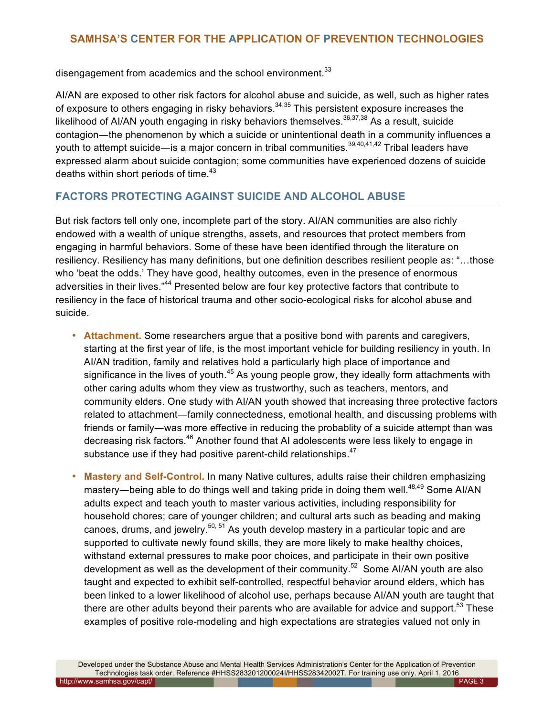disengagement from academics and the school environment.<sup>33</sup>

AI/AN are exposed to other risk factors for alcohol abuse and suicide, as well, such as higher rates of exposure to others engaging in risky behaviors.<sup>34,35</sup> This persistent exposure increases the likelihood of AI/AN youth engaging in risky behaviors themselves.  $36,37,38$  As a result, suicide contagion―the phenomenon by which a suicide or unintentional death in a community influences a youth to attempt suicide—is a major concern in tribal communities.<sup>39,40,41,42</sup> Tribal leaders have expressed alarm about suicide contagion; some communities have experienced dozens of suicide deaths within short periods of time. $43$ 

# **FACTORS PROTECTING AGAINST SUICIDE AND ALCOHOL ABUSE**

But risk factors tell only one, incomplete part of the story. AI/AN communities are also richly endowed with a wealth of unique strengths, assets, and resources that protect members from engaging in harmful behaviors. Some of these have been identified through the literature on resiliency. Resiliency has many definitions, but one definition describes resilient people as: "…those who 'beat the odds.' They have good, healthy outcomes, even in the presence of enormous adversities in their lives."<sup>44</sup> Presented below are four key protective factors that contribute to resiliency in the face of historical trauma and other socio-ecological risks for alcohol abuse and suicide.

- **Attachment.** Some researchers argue that a positive bond with parents and caregivers, starting at the first year of life, is the most important vehicle for building resiliency in youth. In AI/AN tradition, family and relatives hold a particularly high place of importance and significance in the lives of youth. $45$  As young people grow, they ideally form attachments with other caring adults whom they view as trustworthy, such as teachers, mentors, and community elders. One study with AI/AN youth showed that increasing three protective factors related to attachment―family connectedness, emotional health, and discussing problems with friends or family―was more effective in reducing the probablity of a suicide attempt than was decreasing risk factors.<sup>46</sup> Another found that AI adolescents were less likely to engage in substance use if they had positive parent-child relationships.<sup>47</sup>
- **Mastery and Self-Control.** In many Native cultures, adults raise their children emphasizing mastery—being able to do things well and taking pride in doing them well. $48,49$  Some AI/AN adults expect and teach youth to master various activities, including responsibility for household chores; care of younger children; and cultural arts such as beading and making canoes, drums, and jewelry.<sup>50, 51</sup> As youth develop mastery in a particular topic and are supported to cultivate newly found skills, they are more likely to make healthy choices, withstand external pressures to make poor choices, and participate in their own positive development as well as the development of their community.<sup>52</sup> Some AI/AN youth are also taught and expected to exhibit self-controlled, respectful behavior around elders, which has been linked to a lower likelihood of alcohol use, perhaps because AI/AN youth are taught that there are other adults beyond their parents who are available for advice and support. $53$  These examples of positive role-modeling and high expectations are strategies valued not only in

Developed under the Substance Abuse and Mental Health Services Administration's Center for the Application of Prevention Technologies task order. Reference #HHSS283201200024I/HHSS28342002T. For training use only. April 1, 2016 http://www.samhsa.gov/capt/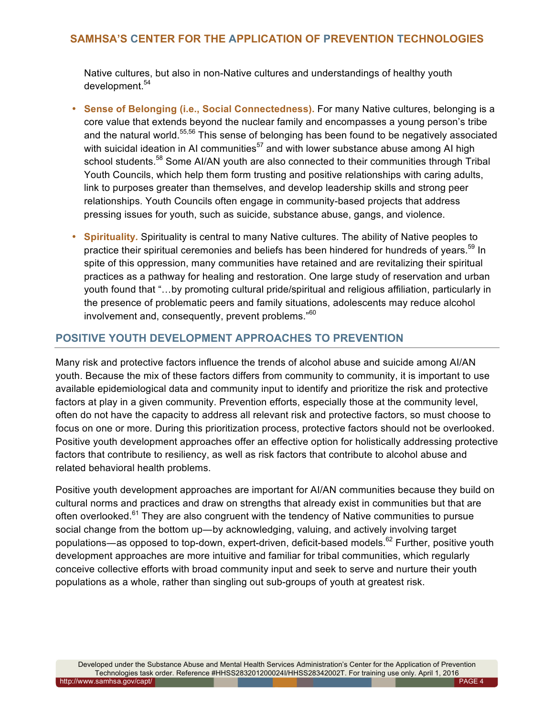Native cultures, but also in non-Native cultures and understandings of healthy youth development.<sup>54</sup>

- **Sense of Belonging (i.e., Social Connectedness).** For many Native cultures, belonging is a core value that extends beyond the nuclear family and encompasses a young person's tribe and the natural world.<sup>55,56</sup> This sense of belonging has been found to be negatively associated with suicidal ideation in AI communities<sup>57</sup> and with lower substance abuse among AI high school students.<sup>58</sup> Some AI/AN youth are also connected to their communities through Tribal Youth Councils, which help them form trusting and positive relationships with caring adults, link to purposes greater than themselves, and develop leadership skills and strong peer relationships. Youth Councils often engage in community-based projects that address pressing issues for youth, such as suicide, substance abuse, gangs, and violence.
- **Spirituality***.* Spirituality is central to many Native cultures. The ability of Native peoples to practice their spiritual ceremonies and beliefs has been hindered for hundreds of vears.<sup>59</sup> In spite of this oppression, many communities have retained and are revitalizing their spiritual practices as a pathway for healing and restoration. One large study of reservation and urban youth found that "…by promoting cultural pride/spiritual and religious affiliation, particularly in the presence of problematic peers and family situations, adolescents may reduce alcohol involvement and, consequently, prevent problems."<sup>60</sup>

# **POSITIVE YOUTH DEVELOPMENT APPROACHES TO PREVENTION**

Many risk and protective factors influence the trends of alcohol abuse and suicide among AI/AN youth. Because the mix of these factors differs from community to community, it is important to use available epidemiological data and community input to identify and prioritize the risk and protective factors at play in a given community. Prevention efforts, especially those at the community level, often do not have the capacity to address all relevant risk and protective factors, so must choose to focus on one or more. During this prioritization process, protective factors should not be overlooked. Positive youth development approaches offer an effective option for holistically addressing protective factors that contribute to resiliency, as well as risk factors that contribute to alcohol abuse and related behavioral health problems.

Positive youth development approaches are important for AI/AN communities because they build on cultural norms and practices and draw on strengths that already exist in communities but that are often overlooked.<sup>61</sup> They are also congruent with the tendency of Native communities to pursue social change from the bottom up—by acknowledging, valuing, and actively involving target populations—as opposed to top-down, expert-driven, deficit-based models.<sup>62</sup> Further, positive youth development approaches are more intuitive and familiar for tribal communities, which regularly conceive collective efforts with broad community input and seek to serve and nurture their youth populations as a whole, rather than singling out sub-groups of youth at greatest risk.

Developed under the Substance Abuse and Mental Health Services Administration's Center for the Application of Prevention Technologies task order. Reference #HHSS283201200024I/HHSS28342002T. For training use only. April 1, 2016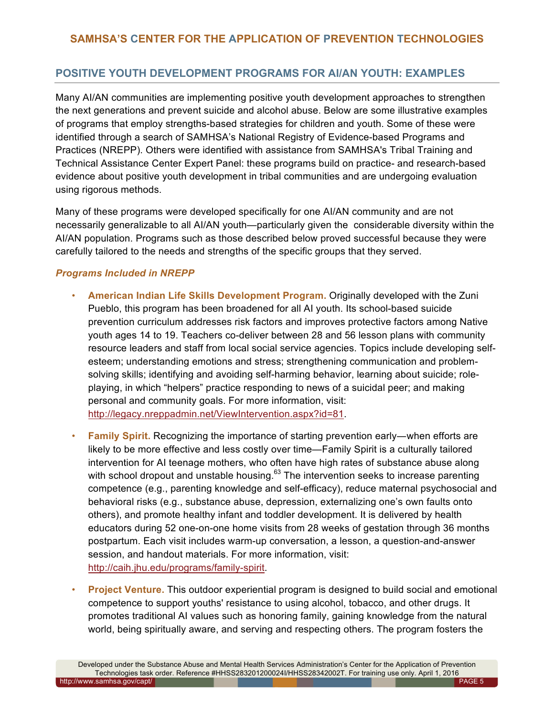# **POSITIVE YOUTH DEVELOPMENT PROGRAMS FOR AI/AN YOUTH: EXAMPLES**

Many AI/AN communities are implementing positive youth development approaches to strengthen the next generations and prevent suicide and alcohol abuse. Below are some illustrative examples of programs that employ strengths-based strategies for children and youth. Some of these were identified through a search of SAMHSA's National Registry of Evidence-based Programs and Practices (NREPP). Others were identified with assistance from SAMHSA's Tribal Training and Technical Assistance Center Expert Panel: these programs build on practice- and research-based evidence about positive youth development in tribal communities and are undergoing evaluation using rigorous methods.

Many of these programs were developed specifically for one AI/AN community and are not necessarily generalizable to all AI/AN youth—particularly given the considerable diversity within the AI/AN population. Programs such as those described below proved successful because they were carefully tailored to the needs and strengths of the specific groups that they served.

#### *Programs Included in NREPP*

- **American Indian Life Skills Development Program.** Originally developed with the Zuni Pueblo, this program has been broadened for all AI youth. Its school-based suicide prevention curriculum addresses risk factors and improves protective factors among Native youth ages 14 to 19. Teachers co-deliver between 28 and 56 lesson plans with community resource leaders and staff from local social service agencies. Topics include developing selfesteem; understanding emotions and stress; strengthening communication and problemsolving skills; identifying and avoiding self-harming behavior, learning about suicide; roleplaying, in which "helpers" practice responding to news of a suicidal peer; and making personal and community goals. For more information, visit: [http://legacy.nreppadmin.net/ViewIntervention.aspx?id=81.](http://legacy.nreppadmin.net/ViewIntervention.aspx?id=81)
- **Family Spirit.** Recognizing the importance of starting prevention early—when efforts are likely to be more effective and less costly over time—Family Spirit is a culturally tailored intervention for AI teenage mothers, who often have high rates of substance abuse along with school dropout and unstable housing.<sup>63</sup> The intervention seeks to increase parenting competence (e.g., parenting knowledge and self-efficacy), reduce maternal psychosocial and behavioral risks (e.g., substance abuse, depression, externalizing one's own faults onto others), and promote healthy infant and toddler development. It is delivered by health educators during 52 one-on-one home visits from 28 weeks of gestation through 36 months postpartum. Each visit includes warm-up conversation, a lesson, a question-and-answer session, and handout materials. For more information, visit: [http://caih.jhu.edu/programs/family-spirit.](http://caih.jhu.edu/programs/family-spirit)
- **Project Venture.** This outdoor experiential program is designed to build social and emotional competence to support youths' resistance to using alcohol, tobacco, and other drugs. It promotes traditional AI values such as honoring family, gaining knowledge from the natural world, being spiritually aware, and serving and respecting others. The program fosters the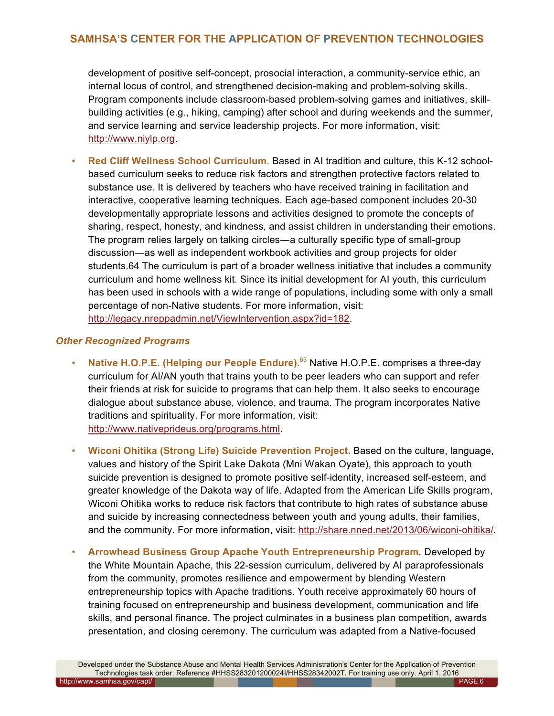development of positive self-concept, prosocial interaction, a community-service ethic, an internal locus of control, and strengthened decision-making and problem-solving skills. Program components include classroom-based problem-solving games and initiatives, skillbuilding activities (e.g., hiking, camping) after school and during weekends and the summer, and service learning and service leadership projects. For more information, visit: [http://www.niylp.org.](http://www.niylp.org)

• **Red Cliff Wellness School Curriculum.** Based in AI tradition and culture, this K-12 schoolbased curriculum seeks to reduce risk factors and strengthen protective factors related to substance use. It is delivered by teachers who have received training in facilitation and interactive, cooperative learning techniques. Each age-based component includes 20-30 developmentally appropriate lessons and activities designed to promote the concepts of sharing, respect, honesty, and kindness, and assist children in understanding their emotions. The program relies largely on talking circles―a culturally specific type of small-group discussion―as well as independent workbook activities and group projects for older students.64 The curriculum is part of a broader wellness initiative that includes a community curriculum and home wellness kit. Since its initial development for AI youth, this curriculum has been used in schools with a wide range of populations, including some with only a small percentage of non-Native students. For more information, visit: [http://legacy.nreppadmin.net/ViewIntervention.aspx?id=182.](http://legacy.nreppadmin.net/ViewIntervention.aspx?id=182) 

#### *Other Recognized Programs*

- **Native H.O.P.E. (Helping our People Endure).** <sup>65</sup> Native H.O.P.E. comprises a three-day curriculum for AI/AN youth that trains youth to be peer leaders who can support and refer their friends at risk for suicide to programs that can help them. It also seeks to encourage dialogue about substance abuse, violence, and trauma. The program incorporates Native traditions and spirituality. For more information, visit: [http://www.nativeprideus.org/programs.html.](http://www.nativeprideus.org/programs.html)
- **Wiconi Ohitika (Strong Life) Suicide Prevention Project.** Based on the culture, language, values and history of the Spirit Lake Dakota (Mni Wakan Oyate), this approach to youth suicide prevention is designed to promote positive self-identity, increased self-esteem, and greater knowledge of the Dakota way of life. Adapted from the American Life Skills program, Wiconi Ohitika works to reduce risk factors that contribute to high rates of substance abuse and suicide by increasing connectedness between youth and young adults, their families, and the community. For more information, visit[: http://share.nned.net/2013/06/wiconi-ohitika/.](http://share.nned.net/2013/06/wiconi-ohitika/)
- **Arrowhead Business Group Apache Youth Entrepreneurship Program***.* Developed by the White Mountain Apache, this 22-session curriculum, delivered by AI paraprofessionals from the community, promotes resilience and empowerment by blending Western entrepreneurship topics with Apache traditions. Youth receive approximately 60 hours of training focused on entrepreneurship and business development, communication and life skills, and personal finance. The project culminates in a business plan competition, awards presentation, and closing ceremony. The curriculum was adapted from a Native-focused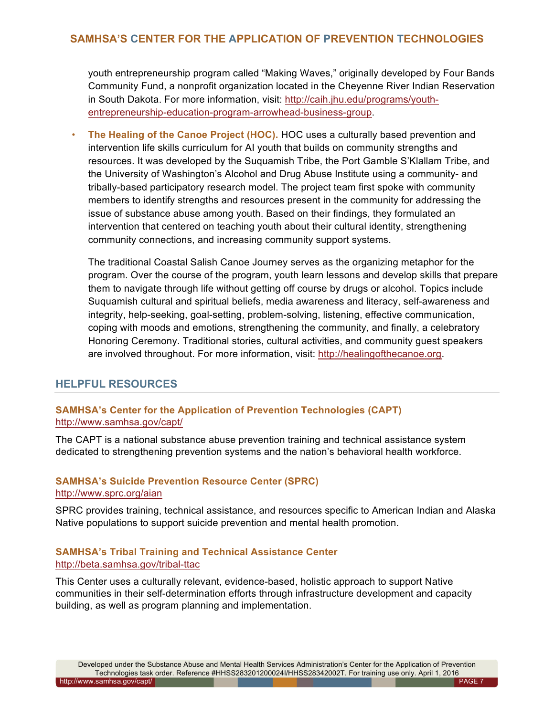youth entrepreneurship program called "Making Waves," originally developed by Four Bands Community Fund, a nonprofit organization located in the Cheyenne River Indian Reservation [in South Dakota. For more information, visit: http://caih.jhu.edu/programs/youth](http://caih.jhu.edu/programs/youth-entrepreneurship-education-program-arrowhead-business-group)entrepreneurship-education-program-arrowhead-business-group.

• **The Healing of the Canoe Project (HOC).** HOC uses a culturally based prevention and intervention life skills curriculum for AI youth that builds on community strengths and resources. It was developed by the Suquamish Tribe, the Port Gamble S'Klallam Tribe, and the University of Washington's Alcohol and Drug Abuse Institute using a community- and tribally-based participatory research model. The project team first spoke with community members to identify strengths and resources present in the community for addressing the issue of substance abuse among youth. Based on their findings, they formulated an intervention that centered on teaching youth about their cultural identity, strengthening community connections, and increasing community support systems.

The traditional Coastal Salish Canoe Journey serves as the organizing metaphor for the program. Over the course of the program, youth learn lessons and develop skills that prepare them to navigate through life without getting off course by drugs or alcohol. Topics include Suquamish cultural and spiritual beliefs, media awareness and literacy, self-awareness and integrity, help-seeking, goal-setting, problem-solving, listening, effective communication, coping with moods and emotions, strengthening the community, and finally, a celebratory Honoring Ceremony. Traditional stories, cultural activities, and community guest speakers are involved throughout. For more information, visit: [http://healingofthecanoe.org.](http://healingofthecanoe.org)

#### **HELPFUL RESOURCES**

## **SAMHSA's Center for the Application of Prevention Technologies (CAPT)** <http://www.samhsa.gov/capt/>

The CAPT is a national substance abuse prevention training and technical assistance system dedicated to strengthening prevention systems and the nation's behavioral health workforce.

#### **SAMHSA's Suicide Prevention Resource Center (SPRC)** <http://www.sprc.org/aian>

SPRC provides training, technical assistance, and resources specific to American Indian and Alaska Native populations to support suicide prevention and mental health promotion.

#### **SAMHSA's Tribal Training and Technical Assistance Center**  <http://beta.samhsa.gov/tribal-ttac>

This Center uses a culturally relevant, evidence-based, holistic approach to support Native communities in their self-determination efforts through infrastructure development and capacity building, as well as program planning and implementation.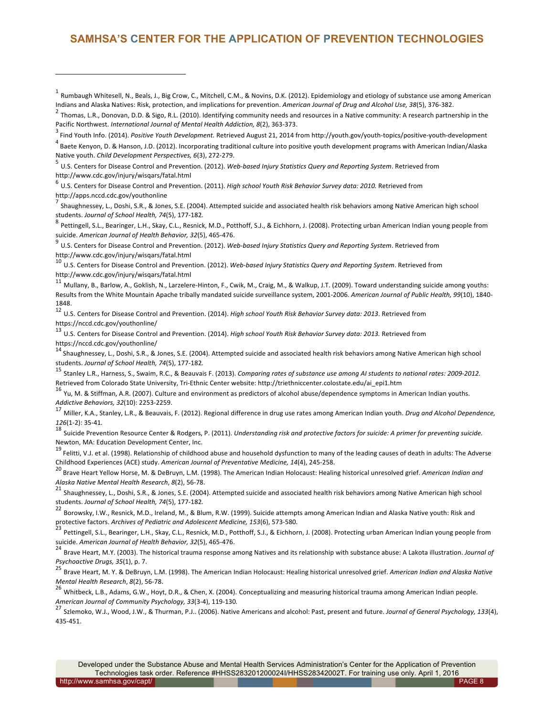$^1$  Rumbaugh Whitesell, N., Beals, J., Big Crow, C., Mitchell, C.M., & Novins, D.K. (2012). Epidemiology and etiology of substance use among American Indians and Alaska Natives: Risk, protection, and implications for prevention. American Journal of Drug and Alcohol Use, 38(5), 376-382.<br><sup>2</sup> Thomas, L.R., Donovan, D.D. & Sigo, R.L. (2010). Identifying community needs and

Pacific Northwest. *International Journal of Mental Health Addiction*, *8*(2), 363-373.

Find Youth Info. (2014). Positive Youth Development. Retrieved August 21, 2014 from http://youth.gov/youth-topics/positive-youth-development

<sup>4</sup> Baete Kenyon, D. & Hanson, J.D. (2012). Incorporating traditional culture into positive youth development programs with American Indian/Alaska Native youth. *Child Development Perspectives, 6*(3), 272-279.<br><sup>5</sup> U.S. Centers for Disease Control and Prevention. (2012). *Web-based Injury Statistics Query and Reporting System*. Retrieved from

<http://www.cdc.gov/injury/wisqars/fatal.html>

 $^6$  U.S. Centers for Disease Control and Prevention. (2011). *High school Youth Risk Behavior Survey data: 2010.* Retrieved from [http://apps.nccd.cdc.gov/youthonline](https://nccd.cdc.gov/Youthonline/App/Default.aspx)

1

 $^7$  Shaughnessey, L., Doshi, S.R., & Jones, S.E. (2004). Attempted suicide and associated health risk behaviors among Native American high school

students. *Journal of School Health, 74*(5), 177-182.<br><sup>8</sup> Pettingell, S.L., Bearinger, L.H., Skay, C.L., Resnick, M.D., Potthoff, S.J., & Eichhorn, J. (2008). Protecting urban American Indian young people from<br>suicide. *Am* 

U.S. Centers for Disease Control and Prevention. (2012). Web-based Injury Statistics Query and Reporting System. Retrieved from <http://www.cdc.gov/injury/wisqars/fatal.html>

U.S. Centers for Disease Control and Prevention. (2012). Web-based Injury Statistics Query and Reporting System. Retrieved from <http://www.cdc.gov/injury/wisqars/fatal.html>

<sup>11</sup> Mullanv. B., Barlow, A., Goklish, N., Larzelere-Hinton, F., Cwik, M., Craig, M., & Walkup, J.T. (2009). Toward understanding suicide among youths: Results from the White Mountain Apache tribally mandated suicide surveillance system, 2001-2006. American Journal of Public Health, 99(10), 1840-1848.

12 U.S. Centers for Disease Control and Prevention. (2014). *High school Youth Risk Behavior Survey data: 2013*. Retrieved from <https://nccd.cdc.gov/youthonline/><br><sup>13</sup> U.S. Centers for Disease Control and Prevention. (2014). *High school Youth Risk Behavior Survey data: 2013.* Retrieved from

<https://nccd.cdc.gov/youthonline/><br><sup>14</sup> Shaughnessey, L., Doshi, S.R., & Jones, S.E. (2004). Attempted suicide and associated health risk behaviors among Native American high school

students. Journal of School Health, 74(5), 177-182.<br><sup>15</sup> Stanley L.R., Harness, S., Swaim, R.C., & Beauvais F. (2013). *Comparing rates of substance use among AI students to national rates: 2009-2012.* 

Retrieved from Colorado State University, Tri-Ethnic Center website: http://triethniccenter.colostate.edu/ai\_epi1.htm<br><sup>16</sup> Yu, M. & Stiffman, A.R. (2007). Culture and environment as predictors of alcohol abuse/dependence s

Miller, K.A., Stanley, L.R., & Beauvais, F. (2012). Regional difference in drug use rates among American Indian youth. *Drug and Alcohol Dependence*,

126(1-2): 35-41.<br><sup>18</sup> Suicide Prevention Resource Center & Rodgers, P. (2011). *Understanding risk and protective factors for suicide: A primer for preventing suicide.* Newton, MA: Education Development Center, Inc.

<sup>19</sup> Felitti, V.J. et al. (1998). Relationship of childhood abuse and household dysfunction to many of the leading causes of death in adults: The Adverse<br>Childhood Experiences (ACE) study. American Journal of Preventative

<sup>20</sup> Brave Heart Yellow Horse, M. & DeBruyn, L.M. (1998). The American Indian Holocaust: Healing historical unresolved grief. American Indian and

Alaska Native Mental Health Research, *8*(2), 56-78.<br><sup>21</sup> Shaughnessey, L., Doshi, S.R., & Jones, S.E. (2004). Attempted suicide and associated health risk behaviors among Native American high school

students. *Journal of School Health, 74*(5), 177-182.<br><sup>22</sup> Borowsky, I.W., Resnick, M.D., Ireland, M., & Blum, R.W. (1999). Suicide attempts among American Indian and Alaska Native youth: Risk and<br>protective factors. *Arch* 

Pettingell, S.L., Bearinger, L.H., Skay, C.L., Resnick, M.D., Potthoff, S.J., & Eichhorn, J. (2008). Protecting urban American Indian young people from

suicide. American Journal of Health Behavior, 32(5), 465-476.<br><sup>24</sup> Brave Heart, M.Y. (2003). The historical trauma response among Natives and its relationship with substance abuse: A Lakota illustration. Journal of

*Psychoactive Drugs, 35*(1), p. 7.<br><sup>25</sup> Brave Heart, M. Y. & DeBruyn, L.M. (1998). The American Indian Holocaust: Healing historical unresolved grief. *American Indian and Alaska Native* 

*Mental Health Research, 8*(2), 56-78.<br><sup>26</sup> Whitbeck, L.B., Adams, G.W., Hoyt, D.R., & Chen, X. (2004). Conceptualizing and measuring historical trauma among American Indian people.<br>*American Journal of Community Psycholog* 

Szlemoko, W.J., Wood, J.W., & Thurman, P.J.. (2006). Native Americans and alcohol: Past, present and future. Journal of General Psychology, 133(4), 435-451.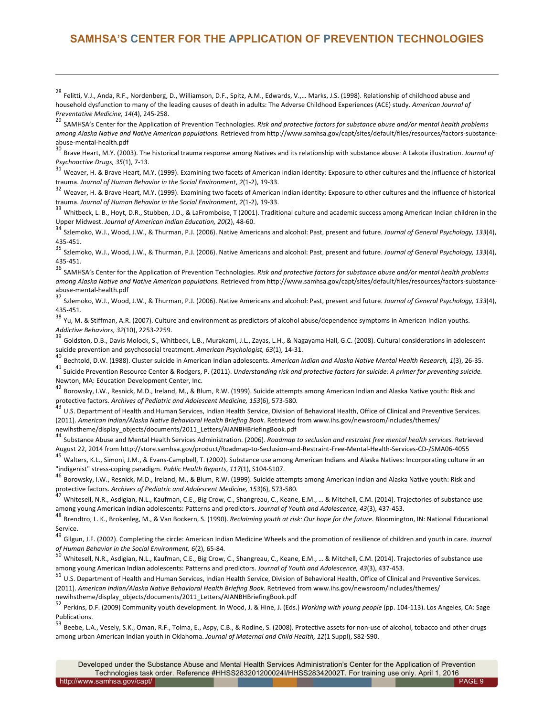<sup>28</sup> Felitti, V.J., Anda, R.F., Nordenberg, D., Williamson, D.F., Spitz, A.M., Edwards, V.,... Marks, J.S. (1998). Relationship of childhood abuse and household dysfunction to many of the leading causes of death in adults: The Adverse Childhood Experiences (ACE) study. American Journal of

1

*Preventative Medicine, 14*(4), 245-258.<br><sup>29</sup> SAMHSA's Center for the Application of Prevention Technologies. *Risk and protective factors for substance abuse and/or mental health problems* among Alaska Native and Native American populations. Retrieved from http://www.samhsa.gov/capt/sites/default/files/resources/factors-substance-

abuse-mental-health.pdf<br><sup>30</sup> Brave Heart, M.Y. (2003). The historical trauma response among Natives and its relationship with substance abuse: A Lakota illustration. *Journal of* 

*Psychoactive Drugs, 35*(1), 7-13.<br><sup>31</sup> Weaver, H. & Brave Heart, M.Y. (1999). Examining two facets of American Indian identity: Exposure to other cultures and the influence of historical

trauma. Journal of Human Behavior in the Social Environment, 2(1-2), 19-33.<br><sup>32</sup> Weaver, H. & Brave Heart, M.Y. (1999). Examining two facets of American Indian identity: Exposure to other cultures and the influence of hist trauma. Journal of Human Behavior in the Social Environment, 2(1-2), 19-33.<br><sup>33</sup> Whitbeck, L. B., Hoyt, D.R., Stubben, J.D., & LaFromboise, T (2001). Traditional culture and academic success among American Indian children

Upper Midwest. Journal of American Indian Education, 20(2), 48-60.<br><sup>34</sup> Szlemoko, W.J., Wood, J.W., & Thurman, P.J. (2006). Native Americans and alcohol: Past, present and future. Journal of General Psychology, 133(4),

435-451.<br><sup>35</sup> Szlemoko, W.J., Wood, J.W., & Thurman, P.J. (2006). Native Americans and alcohol: Past, present and future. *Journal of General Psychology, 133*(4),

435-451.<br><sup>36</sup> SAMHSA's Center for the Application of Prevention Technologies. *Risk and protective factors for substance abuse and/or mental health problems* among Alaska Native and Native American populations. Retrieved from http://www.samhsa.gov/capt/sites/default/files/resources/factors-substance-

abuse-mental-health.pdf<br><sup>37</sup> Szlemoko, W.J., Wood, J.W., & Thurman, P.J. (2006). Native Americans and alcohol: Past, present and future. *Journal of General Psychology, 133*(4),

435-451.<br><sup>38</sup> Yu, M. & Stiffman, A.R. (2007). Culture and environment as predictors of alcohol abuse/dependence symptoms in American Indian youths.

*Addictive Behaviors, 32*(10), 2253-2259.<br><sup>39</sup> Goldston, D.B., Davis Molock, S., Whitbeck, L.B., Murakami, J.L., Zayas, L.H., & Nagayama Hall, G.C. (2008). Cultural considerations in adolescent suicide prevention and psychosocial treatment. American Psychologist, 63(1), 14-31.<br><sup>40</sup> Bechtold, D.W. (1988). Cluster suicide in American Indian adolescents. American Indian and Alaska Native Mental Health Research, 1(3)

<sup>41</sup> Suicide Prevention Resource Center & Rodgers, P. (2011). *Understanding risk and protective factors for suicide: A primer for preventing suicide.* Newton, MA: Education Development Center, Inc.

 $42$  Borowsky, I.W., Resnick, M.D., Ireland, M., & Blum, R.W. (1999). Suicide attempts among American Indian and Alaska Native youth: Risk and protective factors. Archives of Pediatric and Adolescent Medicine, 153(6), 573-580.<br><sup>43</sup> U.S. Department of Health and Human Services. Indian Health Service. Division of Behavioral Health. Office of Clinical and Preventive

(2011). American Indian/Alaska Native Behavioral Health Briefing Book. Retrieved from www.ihs.gov/newsroom/includes/themes/ [newihstheme/display\\_objects/documents/2011\\_Letters/AIANBHBriefingBook.pdf](www.ihs.gov/newsroom/includes/themes/newihstheme/display_objects/documents/2011_Letters/AIANBHBriefingBook.pdf)

Substance Abuse and Mental Health Services Administration. (2006). *Roadmap to seclusion and restraint free mental health services.* Retrieved

August 22, 2014 from http://store.samhsa.gov/product/Roadmap-to-Seclusion-and-Restraint-Free-Mental-Health-Services-CD-/SMA06-4055<br><sup>45</sup> Walters, K.L., Simoni, J.M., & Evans-Campbell, T. (2002). Substance use among American

"indigenist" stress-coping paradigm. Public Health Reports, 117(1), S104-S107.<br><sup>46</sup> Borowsky, I.W., Resnick, M.D., Ireland, M., & Blum, R.W. (1999). Suicide attempts among American Indian and Alaska Native youth: Risk and<br>

Whitesell, N.R., Asdigian, N.L., Kaufman, C.E., Big Crow, C., Shangreau, C., Keane, E.M., ... & Mitchell, C.M. (2014). Trajectories of substance use

among young American Indian adolescents: Patterns and predictors. Journal of Youth and Adolescence, 43(3), 437-453.<br><sup>48</sup> Brendtro, L. K., Brokenleg, M., & Van Bockern, S. (1990). *Reclaiming youth at risk: Our hope for th* Service.

49 Gilgun, J.F. (2002). Completing the circle: American Indian Medicine Wheels and the promotion of resilience of children and youth in care. *Journal*<br>of Human Behavior in the Social Environment, 6(2), 65-84.

Whitesell, N.R., Asdigian, N.L., Kaufman, C.E., Big Crow, C., Shangreau, C., Keane, E.M., ..., & Mitchell, C.M. (2014). Trajectories of substance use

among young American Indian adolescents: Patterns and predictors*. Journal of Youth and Adolescence, 43*(3), 437-453.<br><sup>51</sup> U.S. Department of Health and Human Services, Indian Health Service, Division of Behavioral Health, (2011). American Indian/Alaska Native Behavioral Health Briefing Book. Retrieved from www.ihs.gov/newsroom/includes/themes/ [newihstheme/display\\_objects/documents/2011\\_Letters/AIANBHBriefingBook.pdf](www.ihs.gov/newsroom/includes/themes/newihstheme/display_objects/documents/2011_Letters/AIANBHBriefingBook.pdf)

52 Perkins, D.F. (2009) Community youth development. In Wood, J. & Hine, J. (Eds.) *Working with young people* (pp. 104-113). Los Angeles, CA: Sage Publications.

53 Beebe, L.A., Vesely, S.K., Oman, R.F., Tolma, E., Aspy, C.B., & Rodine, S. (2008). Protective assets for non-use of alcohol, tobacco and other drugs among urban American Indian youth in Oklahoma. *Journal of Maternal and Child Health, 12*(1 Suppl), S82-S90.